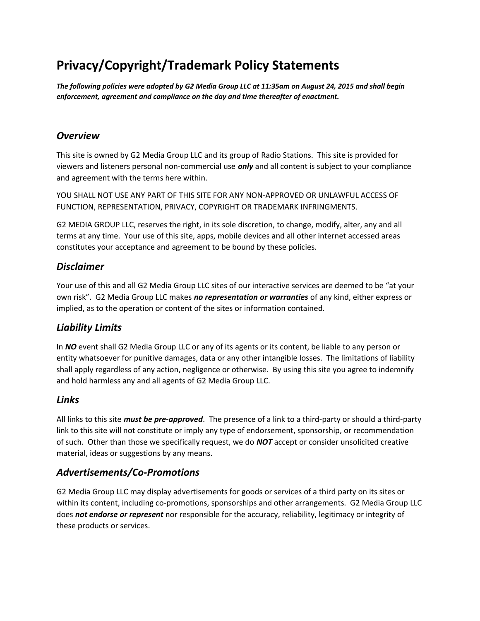# **Privacy/Copyright/Trademark Policy Statements**

*The following policies were adopted by G2 Media Group LLC at 11:35am on August 24, 2015 and shall begin enforcement, agreement and compliance on the day and time thereafter of enactment.*

#### *Overview*

This site is owned by G2 Media Group LLC and its group of Radio Stations. This site is provided for viewers and listeners personal non-commercial use *only* and all content is subject to your compliance and agreement with the terms here within.

YOU SHALL NOT USE ANY PART OF THIS SITE FOR ANY NON-APPROVED OR UNLAWFUL ACCESS OF FUNCTION, REPRESENTATION, PRIVACY, COPYRIGHT OR TRADEMARK INFRINGMENTS.

G2 MEDIA GROUP LLC, reserves the right, in its sole discretion, to change, modify, alter, any and all terms at any time. Your use of this site, apps, mobile devices and all other internet accessed areas constitutes your acceptance and agreement to be bound by these policies.

#### *Disclaimer*

Your use of this and all G2 Media Group LLC sites of our interactive services are deemed to be "at your own risk". G2 Media Group LLC makes *no representation or warranties* of any kind, either express or implied, as to the operation or content of the sites or information contained.

## *Liability Limits*

In *NO* event shall G2 Media Group LLC or any of its agents or its content, be liable to any person or entity whatsoever for punitive damages, data or any other intangible losses. The limitations of liability shall apply regardless of any action, negligence or otherwise. By using this site you agree to indemnify and hold harmless any and all agents of G2 Media Group LLC.

#### *Links*

All links to this site *must be pre-approved*. The presence of a link to a third-party or should a third-party link to this site will not constitute or imply any type of endorsement, sponsorship, or recommendation of such. Other than those we specifically request, we do *NOT* accept or consider unsolicited creative material, ideas or suggestions by any means.

## *Advertisements/Co-Promotions*

G2 Media Group LLC may display advertisements for goods or services of a third party on its sites or within its content, including co-promotions, sponsorships and other arrangements. G2 Media Group LLC does *not endorse or represent* nor responsible for the accuracy, reliability, legitimacy or integrity of these products or services.